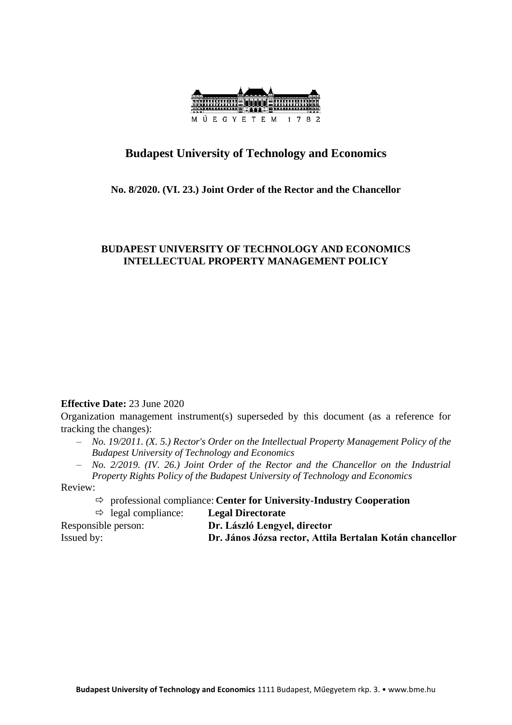

# **Budapest University of Technology and Economics**

### **No. 8/2020. (VI. 23.) Joint Order of the Rector and the Chancellor**

## **BUDAPEST UNIVERSITY OF TECHNOLOGY AND ECONOMICS INTELLECTUAL PROPERTY MANAGEMENT POLICY**

### **Effective Date:** 23 June 2020

Organization management instrument(s) superseded by this document (as a reference for tracking the changes):

- *No. 19/2011. (X. 5.) Rector's Order on the Intellectual Property Management Policy of the Budapest University of Technology and Economics*
- *No. 2/2019. (IV. 26.) Joint Order of the Rector and the Chancellor on the Industrial Property Rights Policy of the Budapest University of Technology and Economics*

Review:

- professional compliance: **Center for University-Industry Cooperation**
- legal compliance: **Legal Directorate** Responsible person: **Dr. László Lengyel, director** Issued by: **Dr. János Józsa rector, Attila Bertalan Kotán chancellor**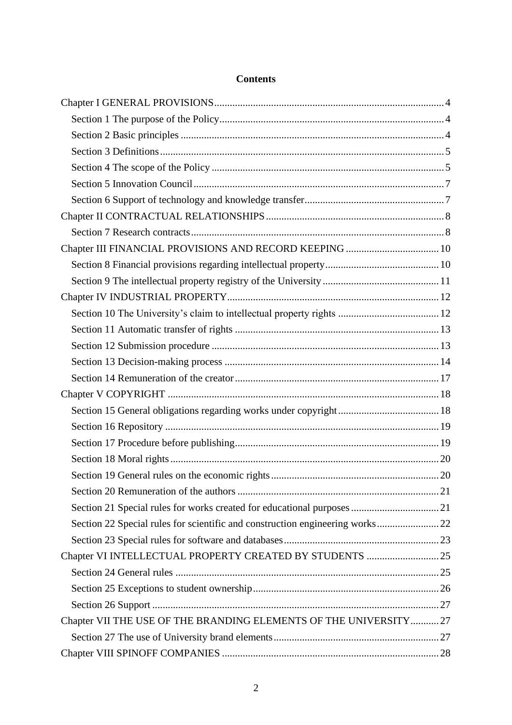| Chapter III FINANCIAL PROVISIONS AND RECORD KEEPING  10           |  |
|-------------------------------------------------------------------|--|
|                                                                   |  |
|                                                                   |  |
|                                                                   |  |
|                                                                   |  |
|                                                                   |  |
|                                                                   |  |
|                                                                   |  |
|                                                                   |  |
|                                                                   |  |
|                                                                   |  |
|                                                                   |  |
|                                                                   |  |
|                                                                   |  |
|                                                                   |  |
|                                                                   |  |
|                                                                   |  |
|                                                                   |  |
|                                                                   |  |
| Chapter VI INTELLECTUAL PROPERTY CREATED BY STUDENTS  25          |  |
|                                                                   |  |
|                                                                   |  |
|                                                                   |  |
| Chapter VII THE USE OF THE BRANDING ELEMENTS OF THE UNIVERSITY 27 |  |
|                                                                   |  |
|                                                                   |  |

### **Contents**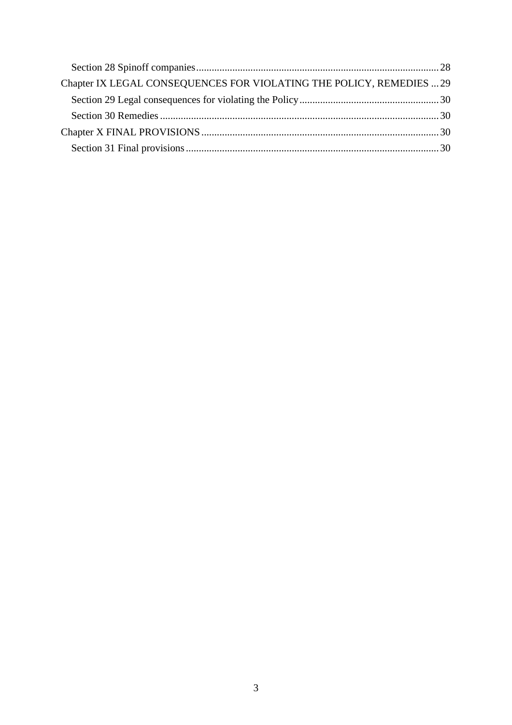| Chapter IX LEGAL CONSEQUENCES FOR VIOLATING THE POLICY, REMEDIES  29 |  |
|----------------------------------------------------------------------|--|
|                                                                      |  |
|                                                                      |  |
|                                                                      |  |
|                                                                      |  |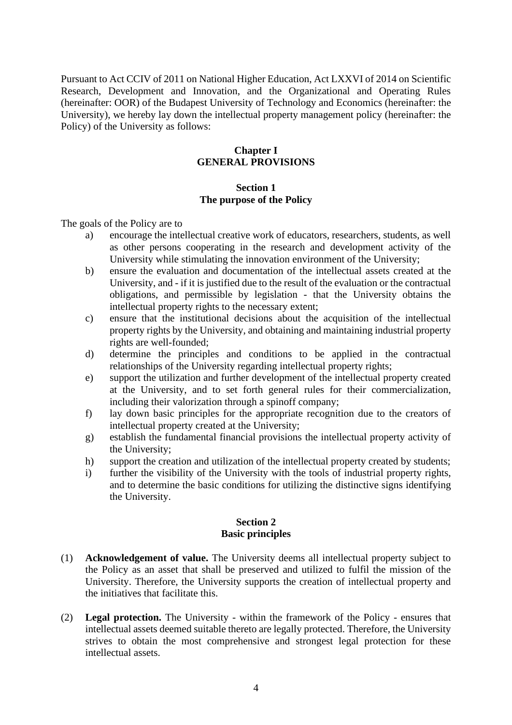<span id="page-3-0"></span>Pursuant to Act CCIV of 2011 on National Higher Education, Act LXXVI of 2014 on Scientific Research, Development and Innovation, and the Organizational and Operating Rules (hereinafter: OOR) of the Budapest University of Technology and Economics (hereinafter: the University), we hereby lay down the intellectual property management policy (hereinafter: the Policy) of the University as follows:

### **Chapter I GENERAL PROVISIONS**

### **Section 1 The purpose of the Policy**

<span id="page-3-1"></span>The goals of the Policy are to

- a) encourage the intellectual creative work of educators, researchers, students, as well as other persons cooperating in the research and development activity of the University while stimulating the innovation environment of the University;
- b) ensure the evaluation and documentation of the intellectual assets created at the University, and - if it is justified due to the result of the evaluation or the contractual obligations, and permissible by legislation - that the University obtains the intellectual property rights to the necessary extent;
- c) ensure that the institutional decisions about the acquisition of the intellectual property rights by the University, and obtaining and maintaining industrial property rights are well-founded;
- d) determine the principles and conditions to be applied in the contractual relationships of the University regarding intellectual property rights;
- e) support the utilization and further development of the intellectual property created at the University, and to set forth general rules for their commercialization, including their valorization through a spinoff company;
- f) lay down basic principles for the appropriate recognition due to the creators of intellectual property created at the University;
- g) establish the fundamental financial provisions the intellectual property activity of the University;
- h) support the creation and utilization of the intellectual property created by students;
- i) further the visibility of the University with the tools of industrial property rights, and to determine the basic conditions for utilizing the distinctive signs identifying the University.

#### **Section 2 Basic principles**

- <span id="page-3-2"></span>(1) **Acknowledgement of value.** The University deems all intellectual property subject to the Policy as an asset that shall be preserved and utilized to fulfil the mission of the University. Therefore, the University supports the creation of intellectual property and the initiatives that facilitate this.
- (2) **Legal protection.** The University within the framework of the Policy ensures that intellectual assets deemed suitable thereto are legally protected. Therefore, the University strives to obtain the most comprehensive and strongest legal protection for these intellectual assets.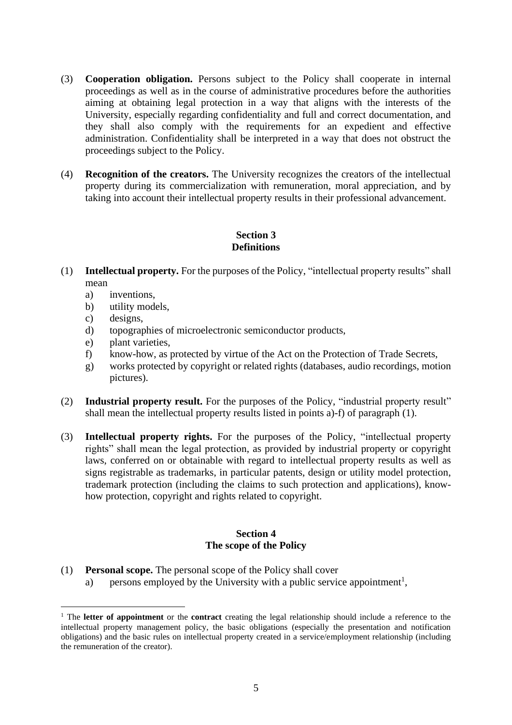- (3) **Cooperation obligation.** Persons subject to the Policy shall cooperate in internal proceedings as well as in the course of administrative procedures before the authorities aiming at obtaining legal protection in a way that aligns with the interests of the University, especially regarding confidentiality and full and correct documentation, and they shall also comply with the requirements for an expedient and effective administration. Confidentiality shall be interpreted in a way that does not obstruct the proceedings subject to the Policy.
- (4) **Recognition of the creators.** The University recognizes the creators of the intellectual property during its commercialization with remuneration, moral appreciation, and by taking into account their intellectual property results in their professional advancement.

## **Section 3 Definitions**

- <span id="page-4-0"></span>(1) **Intellectual property.** For the purposes of the Policy, "intellectual property results" shall mean
	- a) inventions,
	- b) utility models,
	- c) designs,
	- d) topographies of microelectronic semiconductor products,
	- e) plant varieties,
	- f) know-how, as protected by virtue of the Act on the Protection of Trade Secrets,
	- g) works protected by copyright or related rights (databases, audio recordings, motion pictures).
- (2) **Industrial property result.** For the purposes of the Policy, "industrial property result" shall mean the intellectual property results listed in points a)-f) of paragraph (1).
- (3) **Intellectual property rights.** For the purposes of the Policy, "intellectual property rights" shall mean the legal protection, as provided by industrial property or copyright laws, conferred on or obtainable with regard to intellectual property results as well as signs registrable as trademarks, in particular patents, design or utility model protection, trademark protection (including the claims to such protection and applications), knowhow protection, copyright and rights related to copyright.

#### **Section 4 The scope of the Policy**

<span id="page-4-1"></span>(1) **Personal scope.** The personal scope of the Policy shall cover a) persons employed by the University with a public service appointment<sup>1</sup>,

<sup>&</sup>lt;sup>1</sup> The **letter of appointment** or the **contract** creating the legal relationship should include a reference to the intellectual property management policy, the basic obligations (especially the presentation and notification obligations) and the basic rules on intellectual property created in a service/employment relationship (including the remuneration of the creator).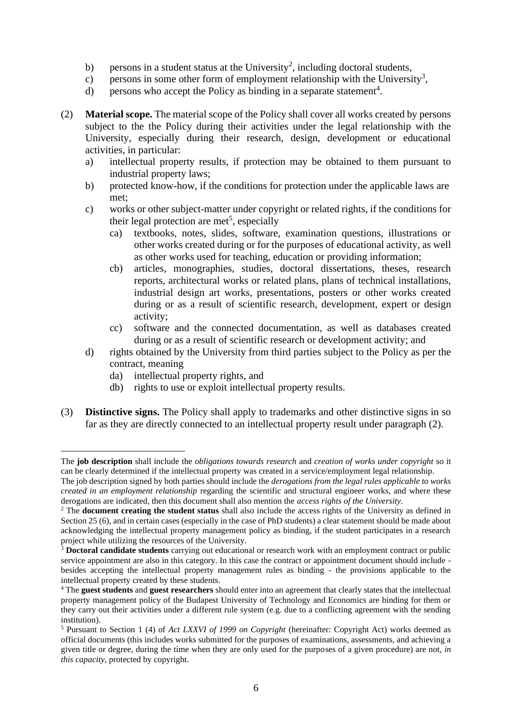- b) persons in a student status at the University<sup>2</sup>, including doctoral students,
- c) persons in some other form of employment relationship with the University<sup>3</sup>,
- d) persons who accept the Policy as binding in a separate statement<sup>4</sup>.
- (2) **Material scope.** The material scope of the Policy shall cover all works created by persons subject to the the Policy during their activities under the legal relationship with the University, especially during their research, design, development or educational activities, in particular:
	- a) intellectual property results, if protection may be obtained to them pursuant to industrial property laws;
	- b) protected know-how, if the conditions for protection under the applicable laws are met;
	- c) works or other subject-matter under copyright or related rights, if the conditions for their legal protection are met<sup>5</sup>, especially
		- ca) textbooks, notes, slides, software, examination questions, illustrations or other works created during or for the purposes of educational activity, as well as other works used for teaching, education or providing information;
		- cb) articles, monographies, studies, doctoral dissertations, theses, research reports, architectural works or related plans, plans of technical installations, industrial design art works, presentations, posters or other works created during or as a result of scientific research, development, expert or design activity;
		- cc) software and the connected documentation, as well as databases created during or as a result of scientific research or development activity; and
	- d) rights obtained by the University from third parties subject to the Policy as per the contract, meaning
		- da) intellectual property rights, and
		- db) rights to use or exploit intellectual property results.
- (3) **Distinctive signs.** The Policy shall apply to trademarks and other distinctive signs in so far as they are directly connected to an intellectual property result under paragraph (2).

The **job description** shall include the *obligations towards research* and *creation of works under copyright* so it can be clearly determined if the intellectual property was created in a service/employment legal relationship.

The job description signed by both parties should include the *derogations from the legal rules applicable to works created in an employment relationship* regarding the scientific and structural engineer works, and where these derogations are indicated, then this document shall also mention the *access rights of the University*.

<sup>&</sup>lt;sup>2</sup> The **document creating the student status** shall also include the access rights of the University as defined in Section 25 (6), and in certain cases (especially in the case of PhD students) a clear statement should be made about acknowledging the intellectual property management policy as binding, if the student participates in a research project while utilizing the resources of the University.

<sup>&</sup>lt;sup>3</sup> Doctoral candidate students carrying out educational or research work with an employment contract or public service appointment are also in this category. In this case the contract or appointment document should include besides accepting the intellectual property management rules as binding - the provisions applicable to the intellectual property created by these students.

<sup>4</sup> The **guest students** and **guest researchers** should enter into an agreement that clearly states that the intellectual property management policy of the Budapest University of Technology and Economics are binding for them or they carry out their activities under a different rule system (e.g. due to a conflicting agreement with the sending institution).

<sup>5</sup> Pursuant to Section 1 (4) of *Act LXXVI of 1999 on Copyright* (hereinafter: Copyright Act) works deemed as official documents (this includes works submitted for the purposes of examinations, assessments, and achieving a given title or degree, during the time when they are only used for the purposes of a given procedure) are not, *in this capacity*, protected by copyright.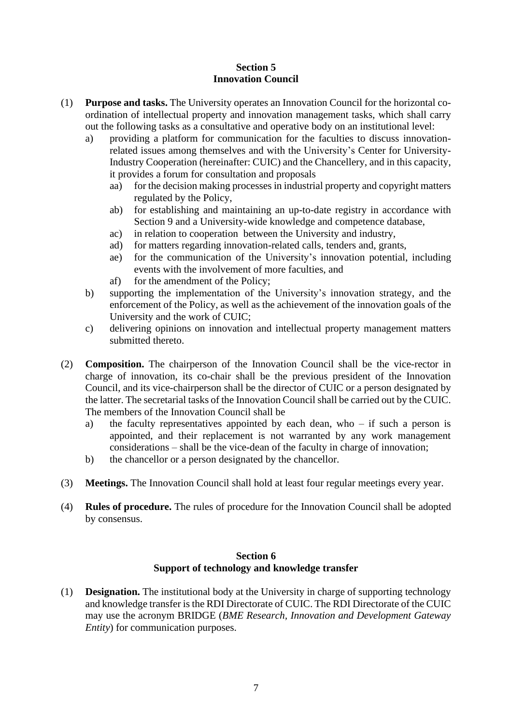### **Section 5 Innovation Council**

- <span id="page-6-0"></span>(1) **Purpose and tasks.** The University operates an Innovation Council for the horizontal coordination of intellectual property and innovation management tasks, which shall carry out the following tasks as a consultative and operative body on an institutional level:
	- a) providing a platform for communication for the faculties to discuss innovationrelated issues among themselves and with the University's Center for University-Industry Cooperation (hereinafter: CUIC) and the Chancellery, and in this capacity, it provides a forum for consultation and proposals
		- aa) for the decision making processes in industrial property and copyright matters regulated by the Policy,
		- ab) for establishing and maintaining an up-to-date registry in accordance with Section 9 and a University-wide knowledge and competence database,
		- ac) in relation to cooperation between the University and industry,
		- ad) for matters regarding innovation-related calls, tenders and, grants,
		- ae) for the communication of the University's innovation potential, including events with the involvement of more faculties, and
		- af) for the amendment of the Policy;
	- b) supporting the implementation of the University's innovation strategy, and the enforcement of the Policy, as well as the achievement of the innovation goals of the University and the work of CUIC;
	- c) delivering opinions on innovation and intellectual property management matters submitted thereto.
- (2) **Composition.** The chairperson of the Innovation Council shall be the vice-rector in charge of innovation, its co-chair shall be the previous president of the Innovation Council, and its vice-chairperson shall be the director of CUIC or a person designated by the latter. The secretarial tasks of the Innovation Council shall be carried out by the CUIC. The members of the Innovation Council shall be
	- a) the faculty representatives appointed by each dean, who if such a person is appointed, and their replacement is not warranted by any work management considerations – shall be the vice-dean of the faculty in charge of innovation;
	- b) the chancellor or a person designated by the chancellor.
- (3) **Meetings.** The Innovation Council shall hold at least four regular meetings every year.
- (4) **Rules of procedure.** The rules of procedure for the Innovation Council shall be adopted by consensus.

### **Section 6 Support of technology and knowledge transfer**

<span id="page-6-1"></span>(1) **Designation.** The institutional body at the University in charge of supporting technology and knowledge transfer is the RDI Directorate of CUIC. The RDI Directorate of the CUIC may use the acronym BRIDGE (*BME Research, Innovation and Development Gateway Entity*) for communication purposes.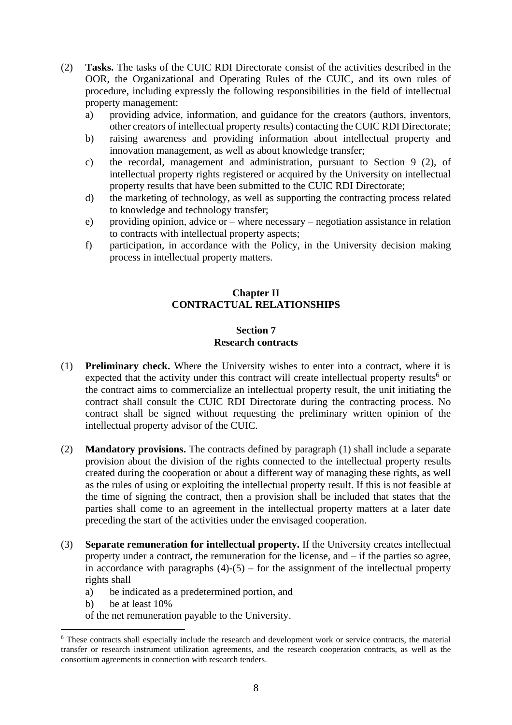- (2) **Tasks.** The tasks of the CUIC RDI Directorate consist of the activities described in the OOR, the Organizational and Operating Rules of the CUIC, and its own rules of procedure, including expressly the following responsibilities in the field of intellectual property management:
	- a) providing advice, information, and guidance for the creators (authors, inventors, other creators of intellectual property results) contacting the CUIC RDI Directorate;
	- b) raising awareness and providing information about intellectual property and innovation management, as well as about knowledge transfer;
	- c) the recordal, management and administration, pursuant to Section 9 (2), of intellectual property rights registered or acquired by the University on intellectual property results that have been submitted to the CUIC RDI Directorate;
	- d) the marketing of technology, as well as supporting the contracting process related to knowledge and technology transfer;
	- e) providing opinion, advice or where necessary negotiation assistance in relation to contracts with intellectual property aspects;
	- f) participation, in accordance with the Policy, in the University decision making process in intellectual property matters.

## **Chapter II CONTRACTUAL RELATIONSHIPS**

#### **Section 7 Research contracts**

- <span id="page-7-1"></span><span id="page-7-0"></span>(1) **Preliminary check.** Where the University wishes to enter into a contract, where it is expected that the activity under this contract will create intellectual property results<sup>6</sup> or the contract aims to commercialize an intellectual property result, the unit initiating the contract shall consult the CUIC RDI Directorate during the contracting process. No contract shall be signed without requesting the preliminary written opinion of the intellectual property advisor of the CUIC.
- (2) **Mandatory provisions.** The contracts defined by paragraph (1) shall include a separate provision about the division of the rights connected to the intellectual property results created during the cooperation or about a different way of managing these rights, as well as the rules of using or exploiting the intellectual property result. If this is not feasible at the time of signing the contract, then a provision shall be included that states that the parties shall come to an agreement in the intellectual property matters at a later date preceding the start of the activities under the envisaged cooperation.
- (3) **Separate remuneration for intellectual property.** If the University creates intellectual property under a contract, the remuneration for the license, and – if the parties so agree, in accordance with paragraphs  $(4)-(5)$  – for the assignment of the intellectual property rights shall
	- a) be indicated as a predetermined portion, and
	- b) be at least  $10\%$
	- of the net remuneration payable to the University.

<sup>6</sup> These contracts shall especially include the research and development work or service contracts, the material transfer or research instrument utilization agreements, and the research cooperation contracts, as well as the consortium agreements in connection with research tenders.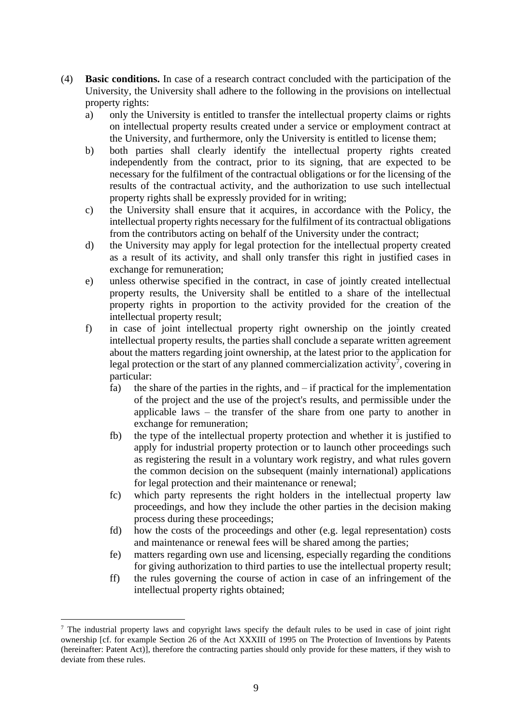- (4) **Basic conditions.** In case of a research contract concluded with the participation of the University, the University shall adhere to the following in the provisions on intellectual property rights:
	- a) only the University is entitled to transfer the intellectual property claims or rights on intellectual property results created under a service or employment contract at the University, and furthermore, only the University is entitled to license them;
	- b) both parties shall clearly identify the intellectual property rights created independently from the contract, prior to its signing, that are expected to be necessary for the fulfilment of the contractual obligations or for the licensing of the results of the contractual activity, and the authorization to use such intellectual property rights shall be expressly provided for in writing;
	- c) the University shall ensure that it acquires, in accordance with the Policy, the intellectual property rights necessary for the fulfilment of its contractual obligations from the contributors acting on behalf of the University under the contract;
	- d) the University may apply for legal protection for the intellectual property created as a result of its activity, and shall only transfer this right in justified cases in exchange for remuneration;
	- e) unless otherwise specified in the contract, in case of jointly created intellectual property results, the University shall be entitled to a share of the intellectual property rights in proportion to the activity provided for the creation of the intellectual property result;
	- f) in case of joint intellectual property right ownership on the jointly created intellectual property results, the parties shall conclude a separate written agreement about the matters regarding joint ownership, at the latest prior to the application for legal protection or the start of any planned commercialization activity<sup>7</sup>, covering in particular:
		- fa) the share of the parties in the rights, and  $-$  if practical for the implementation of the project and the use of the project's results, and permissible under the applicable laws – the transfer of the share from one party to another in exchange for remuneration;
		- fb) the type of the intellectual property protection and whether it is justified to apply for industrial property protection or to launch other proceedings such as registering the result in a voluntary work registry, and what rules govern the common decision on the subsequent (mainly international) applications for legal protection and their maintenance or renewal;
		- fc) which party represents the right holders in the intellectual property law proceedings, and how they include the other parties in the decision making process during these proceedings;
		- fd) how the costs of the proceedings and other (e.g. legal representation) costs and maintenance or renewal fees will be shared among the parties;
		- fe) matters regarding own use and licensing, especially regarding the conditions for giving authorization to third parties to use the intellectual property result;
		- ff) the rules governing the course of action in case of an infringement of the intellectual property rights obtained;

<sup>7</sup> The industrial property laws and copyright laws specify the default rules to be used in case of joint right ownership [cf. for example Section 26 of the Act XXXIII of 1995 on The Protection of Inventions by Patents (hereinafter: Patent Act)], therefore the contracting parties should only provide for these matters, if they wish to deviate from these rules.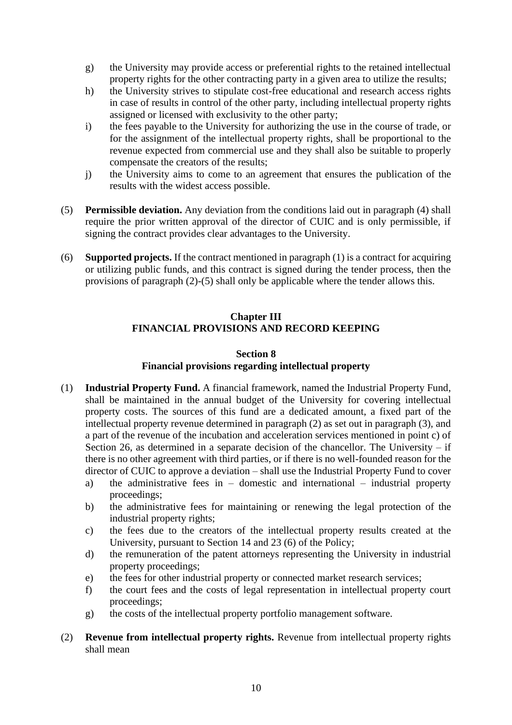- g) the University may provide access or preferential rights to the retained intellectual property rights for the other contracting party in a given area to utilize the results;
- h) the University strives to stipulate cost-free educational and research access rights in case of results in control of the other party, including intellectual property rights assigned or licensed with exclusivity to the other party;
- i) the fees payable to the University for authorizing the use in the course of trade, or for the assignment of the intellectual property rights, shall be proportional to the revenue expected from commercial use and they shall also be suitable to properly compensate the creators of the results;
- j) the University aims to come to an agreement that ensures the publication of the results with the widest access possible.
- (5) **Permissible deviation.** Any deviation from the conditions laid out in paragraph (4) shall require the prior written approval of the director of CUIC and is only permissible, if signing the contract provides clear advantages to the University.
- <span id="page-9-0"></span>(6) **Supported projects.** If the contract mentioned in paragraph (1) is a contract for acquiring or utilizing public funds, and this contract is signed during the tender process, then the provisions of paragraph (2)-(5) shall only be applicable where the tender allows this.

### **Chapter III FINANCIAL PROVISIONS AND RECORD KEEPING**

### **Section 8 Financial provisions regarding intellectual property**

- <span id="page-9-1"></span>(1) **Industrial Property Fund.** A financial framework, named the Industrial Property Fund, shall be maintained in the annual budget of the University for covering intellectual property costs. The sources of this fund are a dedicated amount, a fixed part of the intellectual property revenue determined in paragraph (2) as set out in paragraph (3), and a part of the revenue of the incubation and acceleration services mentioned in point c) of Section 26, as determined in a separate decision of the chancellor. The University  $-$  if there is no other agreement with third parties, or if there is no well-founded reason for the director of CUIC to approve a deviation – shall use the Industrial Property Fund to cover
	- a) the administrative fees in domestic and international industrial property proceedings;
	- b) the administrative fees for maintaining or renewing the legal protection of the industrial property rights;
	- c) the fees due to the creators of the intellectual property results created at the University, pursuant to Section 14 and 23 (6) of the Policy;
	- d) the remuneration of the patent attorneys representing the University in industrial property proceedings;
	- e) the fees for other industrial property or connected market research services;
	- f) the court fees and the costs of legal representation in intellectual property court proceedings;
	- g) the costs of the intellectual property portfolio management software.
- (2) **Revenue from intellectual property rights.** Revenue from intellectual property rights shall mean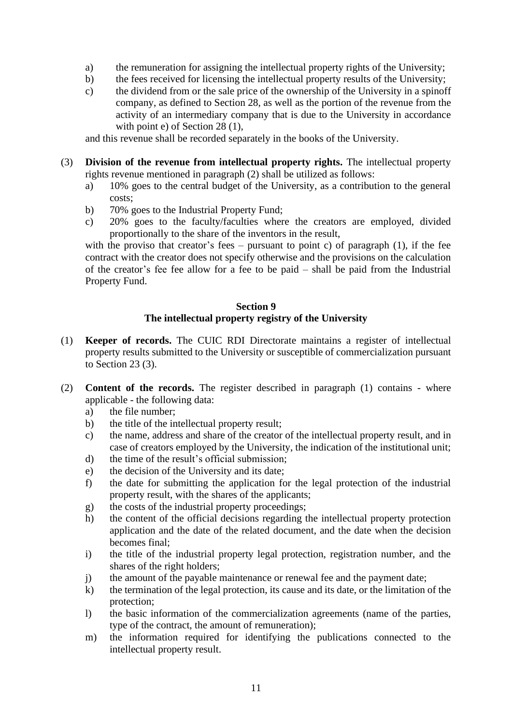- a) the remuneration for assigning the intellectual property rights of the University;
- b) the fees received for licensing the intellectual property results of the University;
- c) the dividend from or the sale price of the ownership of the University in a spinoff company, as defined to Section 28, as well as the portion of the revenue from the activity of an intermediary company that is due to the University in accordance with point e) of Section 28 (1),

and this revenue shall be recorded separately in the books of the University.

- (3) **Division of the revenue from intellectual property rights.** The intellectual property rights revenue mentioned in paragraph (2) shall be utilized as follows:
	- a) 10% goes to the central budget of the University, as a contribution to the general costs;
	- b) 70% goes to the Industrial Property Fund;
	- c) 20% goes to the faculty/faculties where the creators are employed, divided proportionally to the share of the inventors in the result,

with the proviso that creator's fees – pursuant to point c) of paragraph  $(1)$ , if the fee contract with the creator does not specify otherwise and the provisions on the calculation of the creator's fee fee allow for a fee to be paid – shall be paid from the Industrial Property Fund.

## **Section 9 The intellectual property registry of the University**

- <span id="page-10-0"></span>(1) **Keeper of records.** The CUIC RDI Directorate maintains a register of intellectual property results submitted to the University or susceptible of commercialization pursuant to Section 23 (3).
- (2) **Content of the records.** The register described in paragraph (1) contains where applicable - the following data:
	- a) the file number;
	- b) the title of the intellectual property result;
	- c) the name, address and share of the creator of the intellectual property result, and in case of creators employed by the University, the indication of the institutional unit;
	- d) the time of the result's official submission;
	- e) the decision of the University and its date;
	- f) the date for submitting the application for the legal protection of the industrial property result, with the shares of the applicants;
	- g) the costs of the industrial property proceedings;
	- h) the content of the official decisions regarding the intellectual property protection application and the date of the related document, and the date when the decision becomes final;
	- i) the title of the industrial property legal protection, registration number, and the shares of the right holders;
	- j) the amount of the payable maintenance or renewal fee and the payment date;
	- k) the termination of the legal protection, its cause and its date, or the limitation of the protection;
	- l) the basic information of the commercialization agreements (name of the parties, type of the contract, the amount of remuneration);
	- m) the information required for identifying the publications connected to the intellectual property result.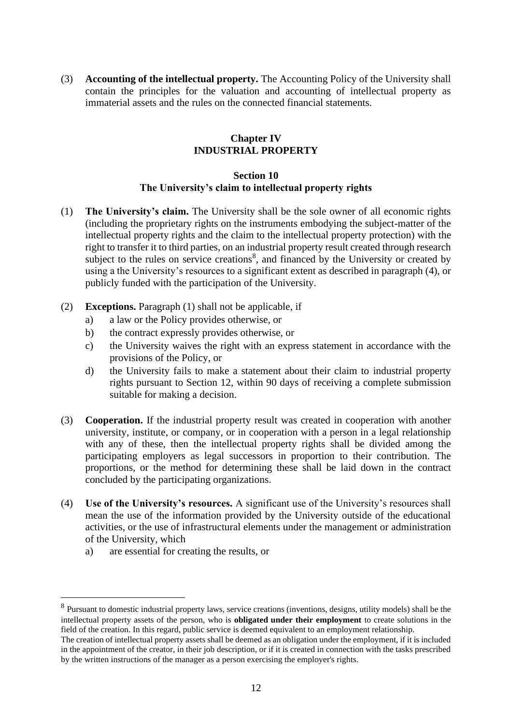<span id="page-11-0"></span>(3) **Accounting of the intellectual property.** The Accounting Policy of the University shall contain the principles for the valuation and accounting of intellectual property as immaterial assets and the rules on the connected financial statements.

### **Chapter IV INDUSTRIAL PROPERTY**

#### **Section 10 The University's claim to intellectual property rights**

- <span id="page-11-1"></span>(1) **The University's claim.** The University shall be the sole owner of all economic rights (including the proprietary rights on the instruments embodying the subject-matter of the intellectual property rights and the claim to the intellectual property protection) with the right to transfer it to third parties, on an industrial property result created through research subject to the rules on service creations<sup>8</sup>, and financed by the University or created by using a the University's resources to a significant extent as described in paragraph (4), or publicly funded with the participation of the University.
- (2) **Exceptions.** Paragraph (1) shall not be applicable, if
	- a) a law or the Policy provides otherwise, or
	- b) the contract expressly provides otherwise, or
	- c) the University waives the right with an express statement in accordance with the provisions of the Policy, or
	- d) the University fails to make a statement about their claim to industrial property rights pursuant to Section 12, within 90 days of receiving a complete submission suitable for making a decision.
- (3) **Cooperation.** If the industrial property result was created in cooperation with another university, institute, or company, or in cooperation with a person in a legal relationship with any of these, then the intellectual property rights shall be divided among the participating employers as legal successors in proportion to their contribution. The proportions, or the method for determining these shall be laid down in the contract concluded by the participating organizations.
- (4) **Use of the University's resources.** A significant use of the University's resources shall mean the use of the information provided by the University outside of the educational activities, or the use of infrastructural elements under the management or administration of the University, which
	- a) are essential for creating the results, or

<sup>&</sup>lt;sup>8</sup> Pursuant to domestic industrial property laws, service creations (inventions, designs, utility models) shall be the intellectual property assets of the person, who is **obligated under their employment** to create solutions in the field of the creation. In this regard, public service is deemed equivalent to an employment relationship.

The creation of intellectual property assets shall be deemed as an obligation under the employment, if it is included in the appointment of the creator, in their job description, or if it is created in connection with the tasks prescribed by the written instructions of the manager as a person exercising the employer's rights.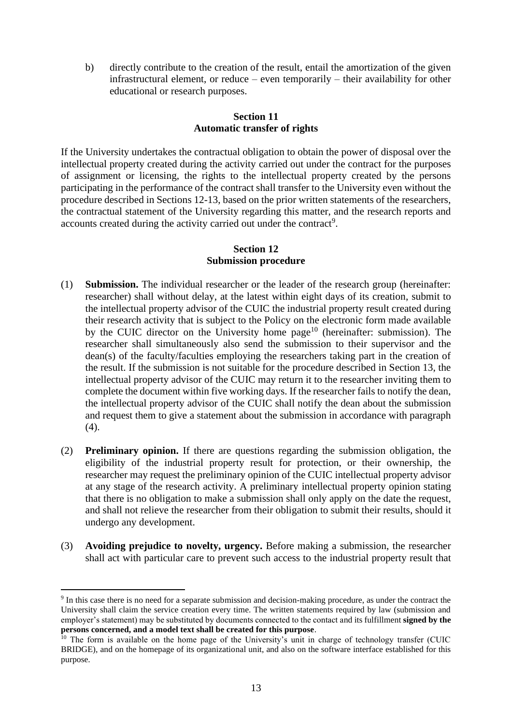b) directly contribute to the creation of the result, entail the amortization of the given infrastructural element, or reduce – even temporarily – their availability for other educational or research purposes.

### **Section 11 Automatic transfer of rights**

<span id="page-12-0"></span>If the University undertakes the contractual obligation to obtain the power of disposal over the intellectual property created during the activity carried out under the contract for the purposes of assignment or licensing, the rights to the intellectual property created by the persons participating in the performance of the contract shall transfer to the University even without the procedure described in Sections 12-13, based on the prior written statements of the researchers, the contractual statement of the University regarding this matter, and the research reports and accounts created during the activity carried out under the contract<sup>9</sup>.

### **Section 12 Submission procedure**

- <span id="page-12-1"></span>(1) **Submission.** The individual researcher or the leader of the research group (hereinafter: researcher) shall without delay, at the latest within eight days of its creation, submit to the intellectual property advisor of the CUIC the industrial property result created during their research activity that is subject to the Policy on the electronic form made available by the CUIC director on the University home page<sup>10</sup> (hereinafter: submission). The researcher shall simultaneously also send the submission to their supervisor and the dean(s) of the faculty/faculties employing the researchers taking part in the creation of the result. If the submission is not suitable for the procedure described in Section 13, the intellectual property advisor of the CUIC may return it to the researcher inviting them to complete the document within five working days. If the researcher fails to notify the dean, the intellectual property advisor of the CUIC shall notify the dean about the submission and request them to give a statement about the submission in accordance with paragraph (4).
- (2) **Preliminary opinion.** If there are questions regarding the submission obligation, the eligibility of the industrial property result for protection, or their ownership, the researcher may request the preliminary opinion of the CUIC intellectual property advisor at any stage of the research activity. A preliminary intellectual property opinion stating that there is no obligation to make a submission shall only apply on the date the request, and shall not relieve the researcher from their obligation to submit their results, should it undergo any development.
- (3) **Avoiding prejudice to novelty, urgency.** Before making a submission, the researcher shall act with particular care to prevent such access to the industrial property result that

<sup>9</sup> In this case there is no need for a separate submission and decision-making procedure, as under the contract the University shall claim the service creation every time. The written statements required by law (submission and employer's statement) may be substituted by documents connected to the contact and its fulfillment **signed by the persons concerned, and a model text shall be created for this purpose**.

 $10$  The form is available on the home page of the University's unit in charge of technology transfer (CUIC BRIDGE), and on the homepage of its organizational unit, and also on the software interface established for this purpose.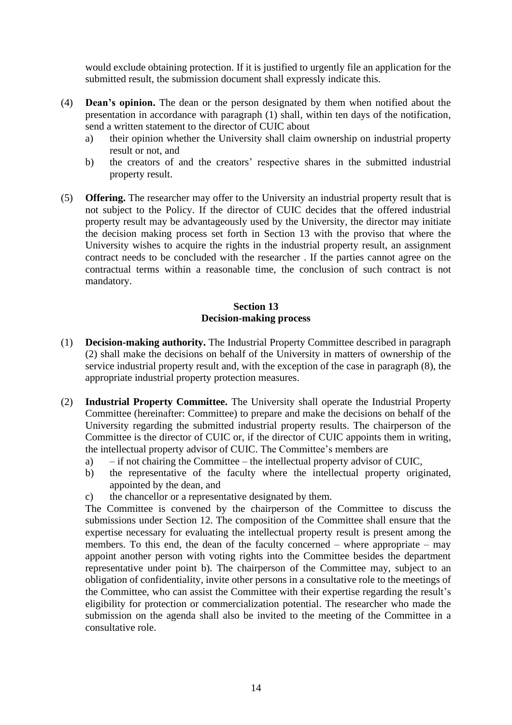would exclude obtaining protection. If it is justified to urgently file an application for the submitted result, the submission document shall expressly indicate this.

- (4) **Dean's opinion.** The dean or the person designated by them when notified about the presentation in accordance with paragraph (1) shall, within ten days of the notification, send a written statement to the director of CUIC about
	- a) their opinion whether the University shall claim ownership on industrial property result or not, and
	- b) the creators of and the creators' respective shares in the submitted industrial property result.
- (5) **Offering.** The researcher may offer to the University an industrial property result that is not subject to the Policy. If the director of CUIC decides that the offered industrial property result may be advantageously used by the University, the director may initiate the decision making process set forth in Section 13 with the proviso that where the University wishes to acquire the rights in the industrial property result, an assignment contract needs to be concluded with the researcher . If the parties cannot agree on the contractual terms within a reasonable time, the conclusion of such contract is not mandatory.

## **Section 13 Decision-making process**

- <span id="page-13-0"></span>(1) **Decision-making authority.** The Industrial Property Committee described in paragraph (2) shall make the decisions on behalf of the University in matters of ownership of the service industrial property result and, with the exception of the case in paragraph (8), the appropriate industrial property protection measures.
- (2) **Industrial Property Committee.** The University shall operate the Industrial Property Committee (hereinafter: Committee) to prepare and make the decisions on behalf of the University regarding the submitted industrial property results. The chairperson of the Committee is the director of CUIC or, if the director of CUIC appoints them in writing, the intellectual property advisor of CUIC. The Committee's members are
	- a) if not chairing the Committee the intellectual property advisor of CUIC,
	- b) the representative of the faculty where the intellectual property originated, appointed by the dean, and
	- c) the chancellor or a representative designated by them.

The Committee is convened by the chairperson of the Committee to discuss the submissions under Section 12. The composition of the Committee shall ensure that the expertise necessary for evaluating the intellectual property result is present among the members. To this end, the dean of the faculty concerned – where appropriate – may appoint another person with voting rights into the Committee besides the department representative under point b). The chairperson of the Committee may, subject to an obligation of confidentiality, invite other persons in a consultative role to the meetings of the Committee, who can assist the Committee with their expertise regarding the result's eligibility for protection or commercialization potential. The researcher who made the submission on the agenda shall also be invited to the meeting of the Committee in a consultative role.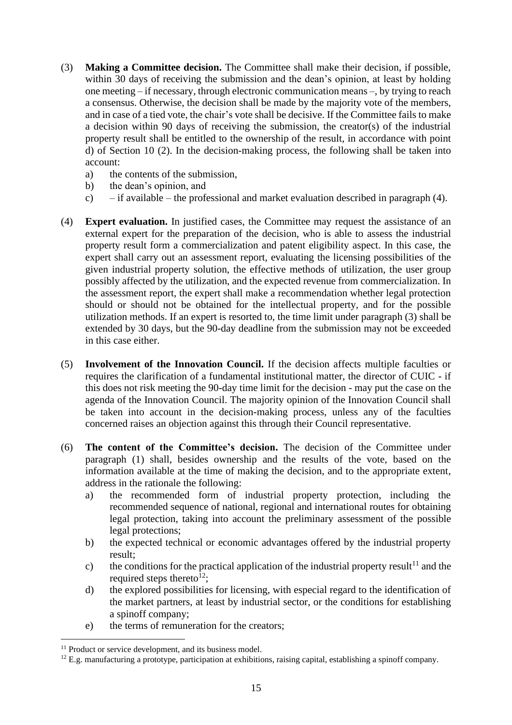- (3) **Making a Committee decision.** The Committee shall make their decision, if possible, within 30 days of receiving the submission and the dean's opinion, at least by holding one meeting – if necessary, through electronic communication means –, by trying to reach a consensus. Otherwise, the decision shall be made by the majority vote of the members, and in case of a tied vote, the chair's vote shall be decisive. If the Committee fails to make a decision within 90 days of receiving the submission, the creator(s) of the industrial property result shall be entitled to the ownership of the result, in accordance with point d) of Section 10 (2). In the decision-making process, the following shall be taken into account:
	- a) the contents of the submission,
	- b) the dean's opinion, and
	- c) if available the professional and market evaluation described in paragraph (4).
- (4) **Expert evaluation.** In justified cases, the Committee may request the assistance of an external expert for the preparation of the decision, who is able to assess the industrial property result form a commercialization and patent eligibility aspect. In this case, the expert shall carry out an assessment report, evaluating the licensing possibilities of the given industrial property solution, the effective methods of utilization, the user group possibly affected by the utilization, and the expected revenue from commercialization. In the assessment report, the expert shall make a recommendation whether legal protection should or should not be obtained for the intellectual property, and for the possible utilization methods. If an expert is resorted to, the time limit under paragraph (3) shall be extended by 30 days, but the 90-day deadline from the submission may not be exceeded in this case either.
- (5) **Involvement of the Innovation Council.** If the decision affects multiple faculties or requires the clarification of a fundamental institutional matter, the director of CUIC - if this does not risk meeting the 90-day time limit for the decision - may put the case on the agenda of the Innovation Council. The majority opinion of the Innovation Council shall be taken into account in the decision-making process, unless any of the faculties concerned raises an objection against this through their Council representative.
- (6) **The content of the Committee's decision.** The decision of the Committee under paragraph (1) shall, besides ownership and the results of the vote, based on the information available at the time of making the decision, and to the appropriate extent, address in the rationale the following:
	- a) the recommended form of industrial property protection, including the recommended sequence of national, regional and international routes for obtaining legal protection, taking into account the preliminary assessment of the possible legal protections;
	- b) the expected technical or economic advantages offered by the industrial property result;
	- c) the conditions for the practical application of the industrial property result<sup>11</sup> and the required steps thereto<sup>12</sup>;
	- d) the explored possibilities for licensing, with especial regard to the identification of the market partners, at least by industrial sector, or the conditions for establishing a spinoff company;
	- e) the terms of remuneration for the creators;

<sup>&</sup>lt;sup>11</sup> Product or service development, and its business model.

 $12$  E.g. manufacturing a prototype, participation at exhibitions, raising capital, establishing a spinoff company.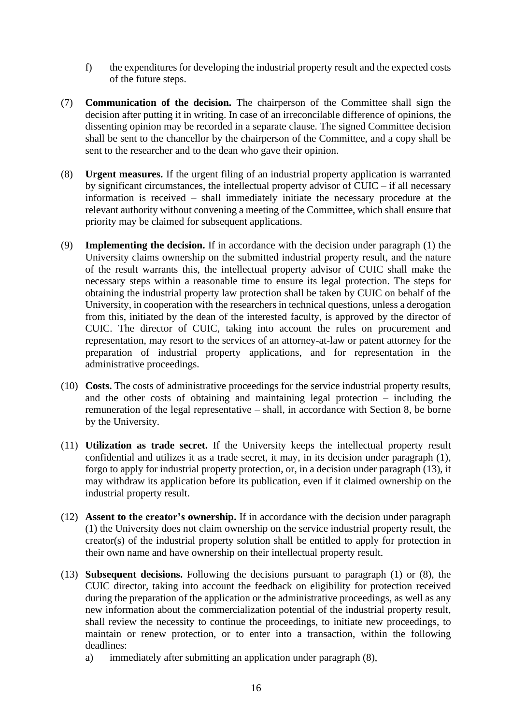- f) the expenditures for developing the industrial property result and the expected costs of the future steps.
- (7) **Communication of the decision.** The chairperson of the Committee shall sign the decision after putting it in writing. In case of an irreconcilable difference of opinions, the dissenting opinion may be recorded in a separate clause. The signed Committee decision shall be sent to the chancellor by the chairperson of the Committee, and a copy shall be sent to the researcher and to the dean who gave their opinion.
- (8) **Urgent measures.** If the urgent filing of an industrial property application is warranted by significant circumstances, the intellectual property advisor of CUIC – if all necessary information is received – shall immediately initiate the necessary procedure at the relevant authority without convening a meeting of the Committee, which shall ensure that priority may be claimed for subsequent applications.
- (9) **Implementing the decision.** If in accordance with the decision under paragraph (1) the University claims ownership on the submitted industrial property result, and the nature of the result warrants this, the intellectual property advisor of CUIC shall make the necessary steps within a reasonable time to ensure its legal protection. The steps for obtaining the industrial property law protection shall be taken by CUIC on behalf of the University, in cooperation with the researchers in technical questions, unless a derogation from this, initiated by the dean of the interested faculty, is approved by the director of CUIC. The director of CUIC, taking into account the rules on procurement and representation, may resort to the services of an attorney-at-law or patent attorney for the preparation of industrial property applications, and for representation in the administrative proceedings.
- (10) **Costs.** The costs of administrative proceedings for the service industrial property results, and the other costs of obtaining and maintaining legal protection – including the remuneration of the legal representative – shall, in accordance with Section 8, be borne by the University.
- (11) **Utilization as trade secret.** If the University keeps the intellectual property result confidential and utilizes it as a trade secret, it may, in its decision under paragraph (1), forgo to apply for industrial property protection, or, in a decision under paragraph (13), it may withdraw its application before its publication, even if it claimed ownership on the industrial property result.
- (12) **Assent to the creator's ownership.** If in accordance with the decision under paragraph (1) the University does not claim ownership on the service industrial property result, the creator(s) of the industrial property solution shall be entitled to apply for protection in their own name and have ownership on their intellectual property result.
- (13) **Subsequent decisions.** Following the decisions pursuant to paragraph (1) or (8), the CUIC director, taking into account the feedback on eligibility for protection received during the preparation of the application or the administrative proceedings, as well as any new information about the commercialization potential of the industrial property result, shall review the necessity to continue the proceedings, to initiate new proceedings, to maintain or renew protection, or to enter into a transaction, within the following deadlines:
	- a) immediately after submitting an application under paragraph (8),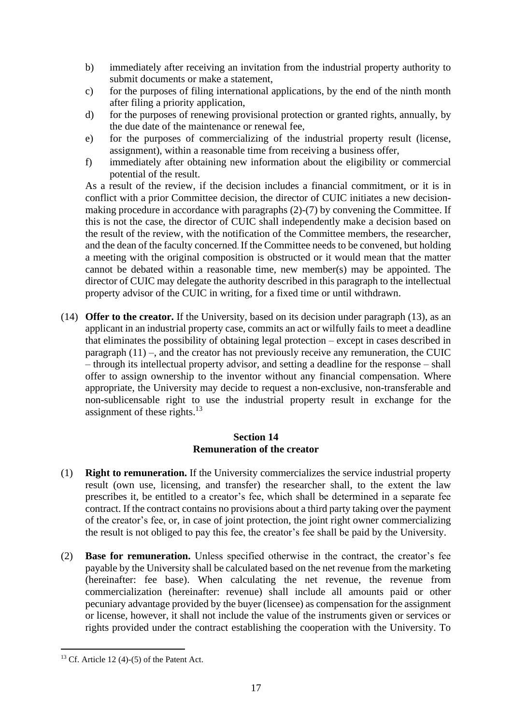- b) immediately after receiving an invitation from the industrial property authority to submit documents or make a statement,
- c) for the purposes of filing international applications, by the end of the ninth month after filing a priority application,
- d) for the purposes of renewing provisional protection or granted rights, annually, by the due date of the maintenance or renewal fee,
- e) for the purposes of commercializing of the industrial property result (license, assignment), within a reasonable time from receiving a business offer,
- f) immediately after obtaining new information about the eligibility or commercial potential of the result.

As a result of the review, if the decision includes a financial commitment, or it is in conflict with a prior Committee decision, the director of CUIC initiates a new decisionmaking procedure in accordance with paragraphs (2)-(7) by convening the Committee. If this is not the case, the director of CUIC shall independently make a decision based on the result of the review, with the notification of the Committee members, the researcher, and the dean of the faculty concerned. If the Committee needs to be convened, but holding a meeting with the original composition is obstructed or it would mean that the matter cannot be debated within a reasonable time, new member(s) may be appointed. The director of CUIC may delegate the authority described in this paragraph to the intellectual property advisor of the CUIC in writing, for a fixed time or until withdrawn.

(14) **Offer to the creator.** If the University, based on its decision under paragraph (13), as an applicant in an industrial property case, commits an act or wilfully fails to meet a deadline that eliminates the possibility of obtaining legal protection – except in cases described in paragraph (11) –, and the creator has not previously receive any remuneration, the CUIC – through its intellectual property advisor, and setting a deadline for the response – shall offer to assign ownership to the inventor without any financial compensation. Where appropriate, the University may decide to request a non-exclusive, non-transferable and non-sublicensable right to use the industrial property result in exchange for the assignment of these rights.<sup>13</sup>

### **Section 14 Remuneration of the creator**

- <span id="page-16-0"></span>(1) **Right to remuneration.** If the University commercializes the service industrial property result (own use, licensing, and transfer) the researcher shall, to the extent the law prescribes it, be entitled to a creator's fee, which shall be determined in a separate fee contract. If the contract contains no provisions about a third party taking over the payment of the creator's fee, or, in case of joint protection, the joint right owner commercializing the result is not obliged to pay this fee, the creator's fee shall be paid by the University.
- (2) **Base for remuneration.** Unless specified otherwise in the contract, the creator's fee payable by the University shall be calculated based on the net revenue from the marketing (hereinafter: fee base). When calculating the net revenue, the revenue from commercialization (hereinafter: revenue) shall include all amounts paid or other pecuniary advantage provided by the buyer (licensee) as compensation for the assignment or license, however, it shall not include the value of the instruments given or services or rights provided under the contract establishing the cooperation with the University. To

 $13$  Cf. Article 12 (4)-(5) of the Patent Act.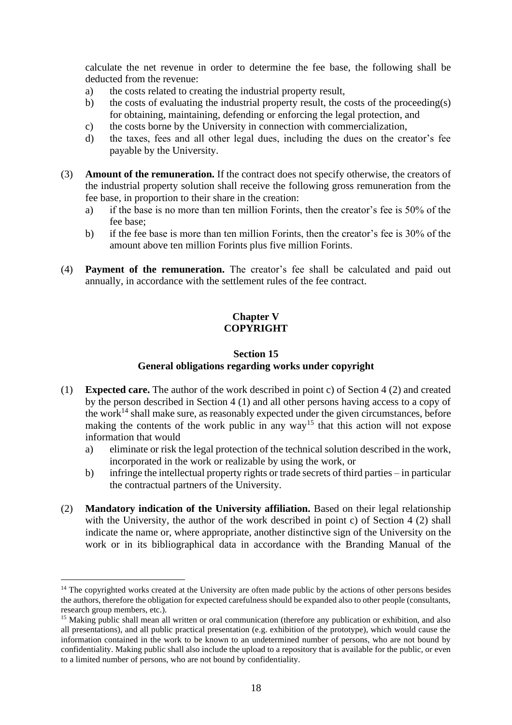calculate the net revenue in order to determine the fee base, the following shall be deducted from the revenue:

- a) the costs related to creating the industrial property result,
- b) the costs of evaluating the industrial property result, the costs of the proceeding(s) for obtaining, maintaining, defending or enforcing the legal protection, and
- c) the costs borne by the University in connection with commercialization,
- d) the taxes, fees and all other legal dues, including the dues on the creator's fee payable by the University.
- (3) **Amount of the remuneration.** If the contract does not specify otherwise, the creators of the industrial property solution shall receive the following gross remuneration from the fee base, in proportion to their share in the creation:
	- a) if the base is no more than ten million Forints, then the creator's fee is 50% of the fee base;
	- b) if the fee base is more than ten million Forints, then the creator's fee is 30% of the amount above ten million Forints plus five million Forints.
- <span id="page-17-0"></span>(4) **Payment of the remuneration.** The creator's fee shall be calculated and paid out annually, in accordance with the settlement rules of the fee contract.

### **Chapter V COPYRIGHT**

## **Section 15 General obligations regarding works under copyright**

- <span id="page-17-1"></span>(1) **Expected care.** The author of the work described in point c) of Section 4 (2) and created by the person described in Section 4 (1) and all other persons having access to a copy of the work<sup>14</sup> shall make sure, as reasonably expected under the given circumstances, before making the contents of the work public in any way<sup>15</sup> that this action will not expose information that would
	- a) eliminate or risk the legal protection of the technical solution described in the work, incorporated in the work or realizable by using the work, or
	- b) infringe the intellectual property rights or trade secrets of third parties in particular the contractual partners of the University.
- (2) **Mandatory indication of the University affiliation.** Based on their legal relationship with the University, the author of the work described in point c) of Section 4 (2) shall indicate the name or, where appropriate, another distinctive sign of the University on the work or in its bibliographical data in accordance with the Branding Manual of the

 $14$  The copyrighted works created at the University are often made public by the actions of other persons besides the authors, therefore the obligation for expected carefulness should be expanded also to other people (consultants, research group members, etc.).

<sup>&</sup>lt;sup>15</sup> Making public shall mean all written or oral communication (therefore any publication or exhibition, and also all presentations), and all public practical presentation (e.g. exhibition of the prototype), which would cause the information contained in the work to be known to an undetermined number of persons, who are not bound by confidentiality. Making public shall also include the upload to a repository that is available for the public, or even to a limited number of persons, who are not bound by confidentiality.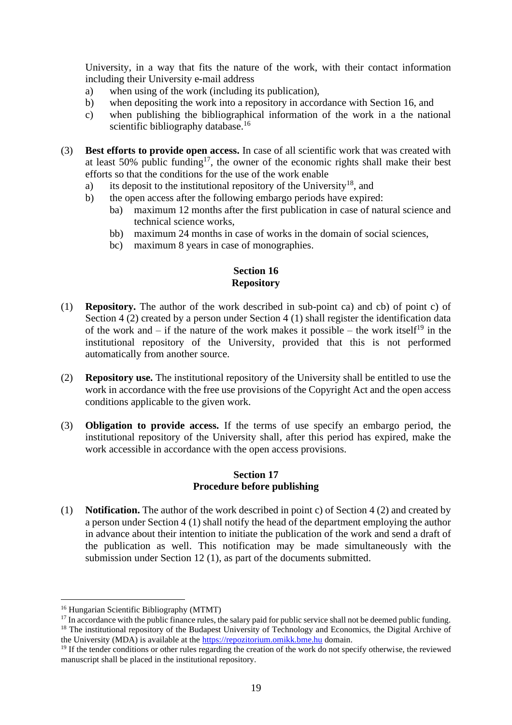University, in a way that fits the nature of the work, with their contact information including their University e-mail address

- a) when using of the work (including its publication),
- b) when depositing the work into a repository in accordance with Section 16, and
- c) when publishing the bibliographical information of the work in a the national scientific bibliography database.<sup>16</sup>
- (3) **Best efforts to provide open access.** In case of all scientific work that was created with at least  $50\%$  public funding<sup>17</sup>, the owner of the economic rights shall make their best efforts so that the conditions for the use of the work enable
	- a) its deposit to the institutional repository of the University<sup>18</sup>, and
	- b) the open access after the following embargo periods have expired:
		- ba) maximum 12 months after the first publication in case of natural science and technical science works,
		- bb) maximum 24 months in case of works in the domain of social sciences,
		- bc) maximum 8 years in case of monographies.

### **Section 16 Repository**

- <span id="page-18-0"></span>(1) **Repository.** The author of the work described in sub-point ca) and cb) of point c) of Section 4 (2) created by a person under Section 4 (1) shall register the identification data of the work and – if the nature of the work makes it possible – the work itself<sup>19</sup> in the institutional repository of the University, provided that this is not performed automatically from another source.
- (2) **Repository use.** The institutional repository of the University shall be entitled to use the work in accordance with the free use provisions of the Copyright Act and the open access conditions applicable to the given work.
- (3) **Obligation to provide access.** If the terms of use specify an embargo period, the institutional repository of the University shall, after this period has expired, make the work accessible in accordance with the open access provisions.

#### **Section 17 Procedure before publishing**

<span id="page-18-1"></span>(1) **Notification.** The author of the work described in point c) of Section 4 (2) and created by a person under Section 4 (1) shall notify the head of the department employing the author in advance about their intention to initiate the publication of the work and send a draft of the publication as well. This notification may be made simultaneously with the submission under Section 12 (1), as part of the documents submitted.

<sup>16</sup> Hungarian Scientific Bibliography (MTMT)

<sup>&</sup>lt;sup>17</sup> In accordance with the public finance rules, the salary paid for public service shall not be deemed public funding. <sup>18</sup> The institutional repository of the Budapest University of Technology and Economics, the Digital Archive of the University (MDA) is available at the [https://repozitorium.omikk.bme.hu](https://repozitorium.omikk.bme.hu/) domain.

 $19$  If the tender conditions or other rules regarding the creation of the work do not specify otherwise, the reviewed manuscript shall be placed in the institutional repository.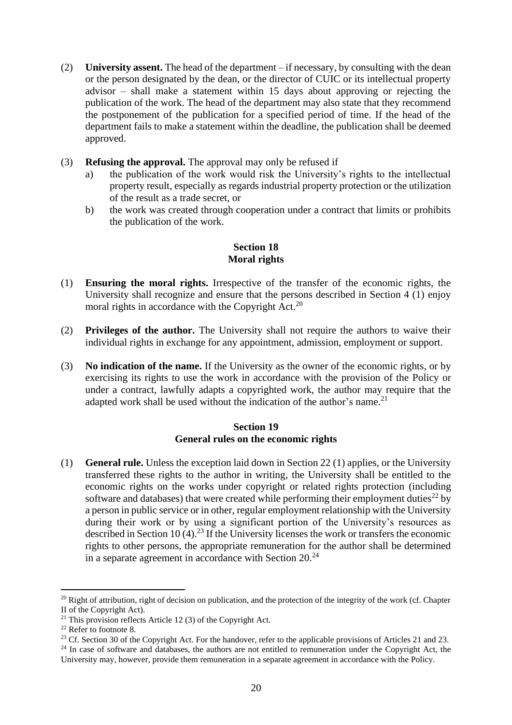- (2) **University assent.** The head of the department if necessary, by consulting with the dean or the person designated by the dean, or the director of CUIC or its intellectual property advisor – shall make a statement within 15 days about approving or rejecting the publication of the work. The head of the department may also state that they recommend the postponement of the publication for a specified period of time. If the head of the department fails to make a statement within the deadline, the publication shall be deemed approved.
- (3) **Refusing the approval.** The approval may only be refused if
	- a) the publication of the work would risk the University's rights to the intellectual property result, especially as regards industrial property protection or the utilization of the result as a trade secret, or
	- b) the work was created through cooperation under a contract that limits or prohibits the publication of the work.

### **Section 18 Moral rights**

- <span id="page-19-0"></span>(1) **Ensuring the moral rights.** Irrespective of the transfer of the economic rights, the University shall recognize and ensure that the persons described in Section 4 (1) enjoy moral rights in accordance with the Copyright Act.<sup>20</sup>
- (2) **Privileges of the author.** The University shall not require the authors to waive their individual rights in exchange for any appointment, admission, employment or support.
- (3) **No indication of the name.** If the University as the owner of the economic rights, or by exercising its rights to use the work in accordance with the provision of the Policy or under a contract, lawfully adapts a copyrighted work, the author may require that the adapted work shall be used without the indication of the author's name.<sup>21</sup>

#### **Section 19 General rules on the economic rights**

<span id="page-19-1"></span>(1) **General rule.** Unless the exception laid down in Section 22 (1) applies, or the University transferred these rights to the author in writing, the University shall be entitled to the economic rights on the works under copyright or related rights protection (including software and databases) that were created while performing their employment duties<sup>22</sup> by a person in public service or in other, regular employment relationship with the University during their work or by using a significant portion of the University's resources as described in Section 10  $(4)$ .<sup>23</sup> If the University licenses the work or transfers the economic rights to other persons, the appropriate remuneration for the author shall be determined in a separate agreement in accordance with Section  $20^{24}$ 

 $20$  Right of attribution, right of decision on publication, and the protection of the integrity of the work (cf. Chapter II of the Copyright Act).

<sup>&</sup>lt;sup>21</sup> This provision reflects Article 12 (3) of the Copyright Act.

<sup>22</sup> Refer to footnote 8.

<sup>&</sup>lt;sup>23</sup> Cf. Section 30 of the Copyright Act. For the handover, refer to the applicable provisions of Articles 21 and 23.

<sup>&</sup>lt;sup>24</sup> In case of software and databases, the authors are not entitled to remuneration under the Copyright Act, the University may, however, provide them remuneration in a separate agreement in accordance with the Policy.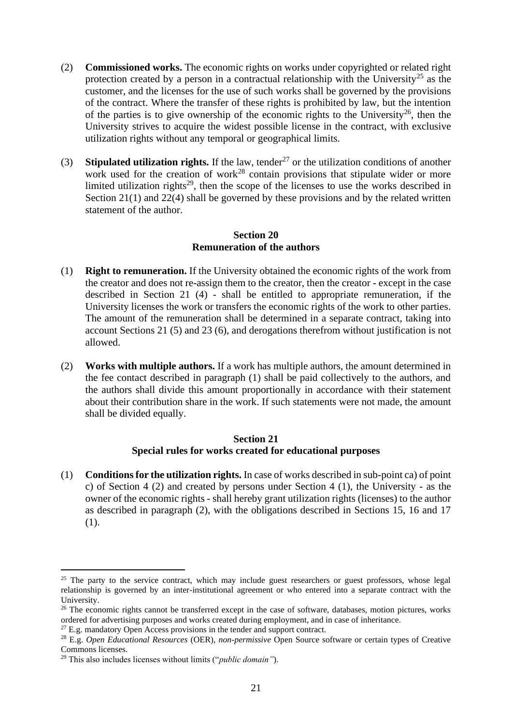- (2) **Commissioned works.** The economic rights on works under copyrighted or related right protection created by a person in a contractual relationship with the University<sup>25</sup> as the customer, and the licenses for the use of such works shall be governed by the provisions of the contract. Where the transfer of these rights is prohibited by law, but the intention of the parties is to give ownership of the economic rights to the University<sup>26</sup>, then the University strives to acquire the widest possible license in the contract, with exclusive utilization rights without any temporal or geographical limits.
- (3) **Stipulated utilization rights.** If the law, tender<sup>27</sup> or the utilization conditions of another work used for the creation of work<sup>28</sup> contain provisions that stipulate wider or more limited utilization rights<sup>29</sup>, then the scope of the licenses to use the works described in Section 21(1) and 22(4) shall be governed by these provisions and by the related written statement of the author.

#### **Section 20 Remuneration of the authors**

- <span id="page-20-0"></span>(1) **Right to remuneration.** If the University obtained the economic rights of the work from the creator and does not re-assign them to the creator, then the creator - except in the case described in Section 21 (4) - shall be entitled to appropriate remuneration, if the University licenses the work or transfers the economic rights of the work to other parties. The amount of the remuneration shall be determined in a separate contract, taking into account Sections 21 (5) and 23 (6), and derogations therefrom without justification is not allowed.
- (2) **Works with multiple authors.** If a work has multiple authors, the amount determined in the fee contact described in paragraph (1) shall be paid collectively to the authors, and the authors shall divide this amount proportionally in accordance with their statement about their contribution share in the work. If such statements were not made, the amount shall be divided equally.

## **Section 21 Special rules for works created for educational purposes**

<span id="page-20-1"></span>(1) **Conditions for the utilization rights.** In case of works described in sub-point ca) of point c) of Section 4 (2) and created by persons under Section 4 (1), the University - as the owner of the economic rights - shall hereby grant utilization rights (licenses) to the author as described in paragraph (2), with the obligations described in Sections 15, 16 and 17 (1).

<sup>&</sup>lt;sup>25</sup> The party to the service contract, which may include guest researchers or guest professors, whose legal relationship is governed by an inter-institutional agreement or who entered into a separate contract with the University.

<sup>&</sup>lt;sup>26</sup> The economic rights cannot be transferred except in the case of software, databases, motion pictures, works ordered for advertising purposes and works created during employment, and in case of inheritance.

<sup>&</sup>lt;sup>27</sup> E.g. mandatory Open Access provisions in the tender and support contract.

<sup>28</sup> E.g. *Open Educational Resources* (OER), *non-permissive* Open Source software or certain types of Creative Commons licenses.

<sup>29</sup> This also includes licenses without limits ("*public domain"*).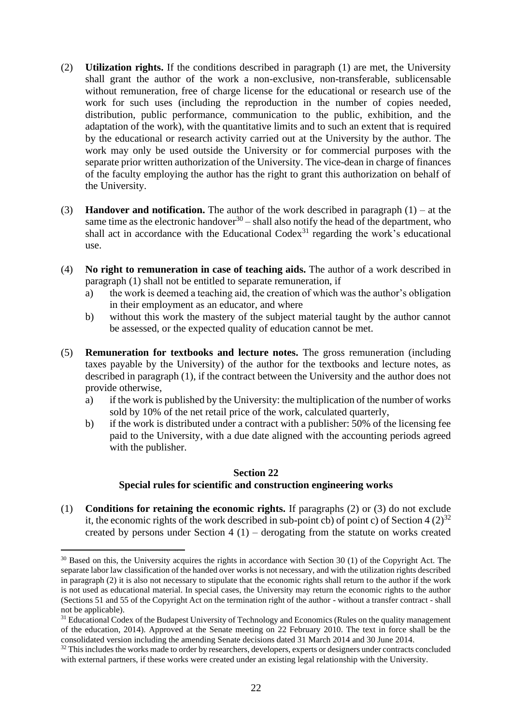- (2) **Utilization rights.** If the conditions described in paragraph (1) are met, the University shall grant the author of the work a non-exclusive, non-transferable, sublicensable without remuneration, free of charge license for the educational or research use of the work for such uses (including the reproduction in the number of copies needed, distribution, public performance, communication to the public, exhibition, and the adaptation of the work), with the quantitative limits and to such an extent that is required by the educational or research activity carried out at the University by the author. The work may only be used outside the University or for commercial purposes with the separate prior written authorization of the University. The vice-dean in charge of finances of the faculty employing the author has the right to grant this authorization on behalf of the University.
- (3) **Handover and notification.** The author of the work described in paragraph (1) at the same time as the electronic handover<sup>30</sup> – shall also notify the head of the department, who shall act in accordance with the Educational Codex<sup>31</sup> regarding the work's educational use.
- (4) **No right to remuneration in case of teaching aids.** The author of a work described in paragraph (1) shall not be entitled to separate remuneration, if
	- a) the work is deemed a teaching aid, the creation of which was the author's obligation in their employment as an educator, and where
	- b) without this work the mastery of the subject material taught by the author cannot be assessed, or the expected quality of education cannot be met.
- (5) **Remuneration for textbooks and lecture notes.** The gross remuneration (including taxes payable by the University) of the author for the textbooks and lecture notes, as described in paragraph (1), if the contract between the University and the author does not provide otherwise,
	- a) if the work is published by the University: the multiplication of the number of works sold by 10% of the net retail price of the work, calculated quarterly,
	- b) if the work is distributed under a contract with a publisher: 50% of the licensing fee paid to the University, with a due date aligned with the accounting periods agreed with the publisher.

### **Section 22 Special rules for scientific and construction engineering works**

<span id="page-21-0"></span>(1) **Conditions for retaining the economic rights.** If paragraphs (2) or (3) do not exclude it, the economic rights of the work described in sub-point cb) of point c) of Section 4  $(2)^{32}$ created by persons under Section  $4(1)$  – derogating from the statute on works created

<sup>&</sup>lt;sup>30</sup> Based on this, the University acquires the rights in accordance with Section 30 (1) of the Copyright Act. The separate labor law classification of the handed over works is not necessary, and with the utilization rights described in paragraph (2) it is also not necessary to stipulate that the economic rights shall return to the author if the work is not used as educational material. In special cases, the University may return the economic rights to the author (Sections 51 and 55 of the Copyright Act on the termination right of the author - without a transfer contract - shall not be applicable).

<sup>&</sup>lt;sup>31</sup> Educational Codex of the Budapest University of Technology and Economics (Rules on the quality management of the education, 2014). Approved at the Senate meeting on 22 February 2010. The text in force shall be the consolidated version including the amending Senate decisions dated 31 March 2014 and 30 June 2014.

<sup>&</sup>lt;sup>32</sup> This includes the works made to order by researchers, developers, experts or designers under contracts concluded with external partners, if these works were created under an existing legal relationship with the University.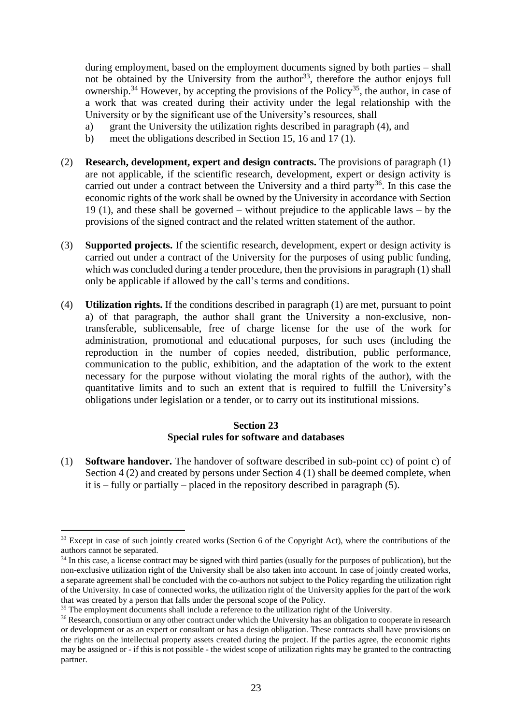during employment, based on the employment documents signed by both parties – shall not be obtained by the University from the author<sup>33</sup>, therefore the author enjoys full ownership.<sup>34</sup> However, by accepting the provisions of the Policy<sup>35</sup>, the author, in case of a work that was created during their activity under the legal relationship with the University or by the significant use of the University's resources, shall

- a) grant the University the utilization rights described in paragraph (4), and
- b) meet the obligations described in Section 15, 16 and 17 (1).
- (2) **Research, development, expert and design contracts.** The provisions of paragraph (1) are not applicable, if the scientific research, development, expert or design activity is carried out under a contract between the University and a third party<sup>36</sup>. In this case the economic rights of the work shall be owned by the University in accordance with Section 19 (1), and these shall be governed – without prejudice to the applicable laws – by the provisions of the signed contract and the related written statement of the author.
- (3) **Supported projects.** If the scientific research, development, expert or design activity is carried out under a contract of the University for the purposes of using public funding, which was concluded during a tender procedure, then the provisions in paragraph (1) shall only be applicable if allowed by the call's terms and conditions.
- (4) **Utilization rights.** If the conditions described in paragraph (1) are met, pursuant to point a) of that paragraph, the author shall grant the University a non-exclusive, nontransferable, sublicensable, free of charge license for the use of the work for administration, promotional and educational purposes, for such uses (including the reproduction in the number of copies needed, distribution, public performance, communication to the public, exhibition, and the adaptation of the work to the extent necessary for the purpose without violating the moral rights of the author), with the quantitative limits and to such an extent that is required to fulfill the University's obligations under legislation or a tender, or to carry out its institutional missions.

### **Section 23 Special rules for software and databases**

<span id="page-22-0"></span>(1) **Software handover.** The handover of software described in sub-point cc) of point c) of Section 4 (2) and created by persons under Section 4 (1) shall be deemed complete, when it is – fully or partially – placed in the repository described in paragraph (5).

<sup>&</sup>lt;sup>33</sup> Except in case of such jointly created works (Section 6 of the Copyright Act), where the contributions of the authors cannot be separated.

<sup>&</sup>lt;sup>34</sup> In this case, a license contract may be signed with third parties (usually for the purposes of publication), but the non-exclusive utilization right of the University shall be also taken into account. In case of jointly created works, a separate agreement shall be concluded with the co-authors not subject to the Policy regarding the utilization right of the University. In case of connected works, the utilization right of the University applies for the part of the work that was created by a person that falls under the personal scope of the Policy.

<sup>&</sup>lt;sup>35</sup> The employment documents shall include a reference to the utilization right of the University.

<sup>&</sup>lt;sup>36</sup> Research, consortium or any other contract under which the University has an obligation to cooperate in research or development or as an expert or consultant or has a design obligation. These contracts shall have provisions on the rights on the intellectual property assets created during the project. If the parties agree, the economic rights may be assigned or - if this is not possible - the widest scope of utilization rights may be granted to the contracting partner.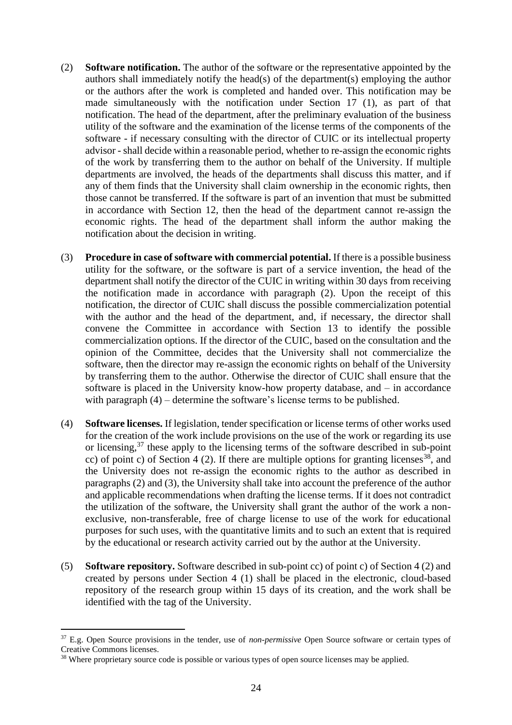- (2) **Software notification.** The author of the software or the representative appointed by the authors shall immediately notify the head(s) of the department(s) employing the author or the authors after the work is completed and handed over. This notification may be made simultaneously with the notification under Section 17 (1), as part of that notification. The head of the department, after the preliminary evaluation of the business utility of the software and the examination of the license terms of the components of the software - if necessary consulting with the director of CUIC or its intellectual property advisor - shall decide within a reasonable period, whether to re-assign the economic rights of the work by transferring them to the author on behalf of the University. If multiple departments are involved, the heads of the departments shall discuss this matter, and if any of them finds that the University shall claim ownership in the economic rights, then those cannot be transferred. If the software is part of an invention that must be submitted in accordance with Section 12, then the head of the department cannot re-assign the economic rights. The head of the department shall inform the author making the notification about the decision in writing.
- (3) **Procedure in case of software with commercial potential.** If there is a possible business utility for the software, or the software is part of a service invention, the head of the department shall notify the director of the CUIC in writing within 30 days from receiving the notification made in accordance with paragraph (2). Upon the receipt of this notification, the director of CUIC shall discuss the possible commercialization potential with the author and the head of the department, and, if necessary, the director shall convene the Committee in accordance with Section 13 to identify the possible commercialization options. If the director of the CUIC, based on the consultation and the opinion of the Committee, decides that the University shall not commercialize the software, then the director may re-assign the economic rights on behalf of the University by transferring them to the author. Otherwise the director of CUIC shall ensure that the software is placed in the University know-how property database, and – in accordance with paragraph (4) – determine the software's license terms to be published.
- (4) **Software licenses.** If legislation, tender specification or license terms of other works used for the creation of the work include provisions on the use of the work or regarding its use or licensing, <sup>37</sup> these apply to the licensing terms of the software described in sub-point cc) of point c) of Section 4 (2). If there are multiple options for granting licenses<sup>38</sup>, and the University does not re-assign the economic rights to the author as described in paragraphs (2) and (3), the University shall take into account the preference of the author and applicable recommendations when drafting the license terms. If it does not contradict the utilization of the software, the University shall grant the author of the work a nonexclusive, non-transferable, free of charge license to use of the work for educational purposes for such uses, with the quantitative limits and to such an extent that is required by the educational or research activity carried out by the author at the University.
- (5) **Software repository.** Software described in sub-point cc) of point c) of Section 4 (2) and created by persons under Section 4 (1) shall be placed in the electronic, cloud-based repository of the research group within 15 days of its creation, and the work shall be identified with the tag of the University.

<sup>37</sup> E.g. Open Source provisions in the tender, use of *non-permissive* Open Source software or certain types of Creative Commons licenses.

<sup>&</sup>lt;sup>38</sup> Where proprietary source code is possible or various types of open source licenses may be applied.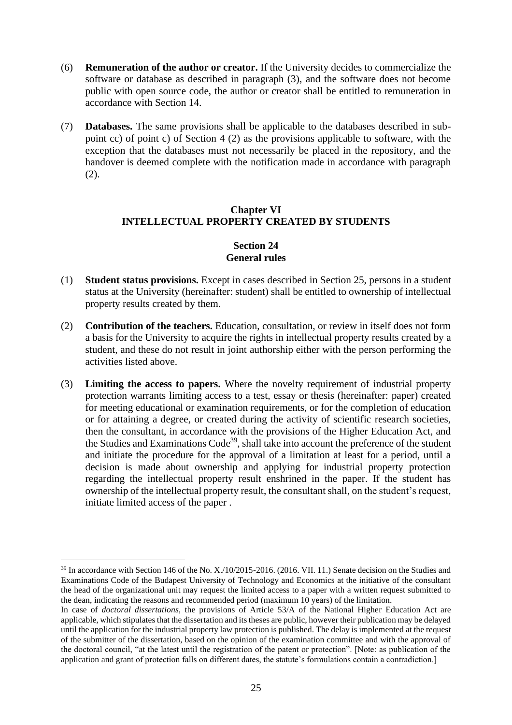- (6) **Remuneration of the author or creator.** If the University decides to commercialize the software or database as described in paragraph (3), and the software does not become public with open source code, the author or creator shall be entitled to remuneration in accordance with Section 14.
- (7) **Databases.** The same provisions shall be applicable to the databases described in subpoint cc) of point c) of Section 4 (2) as the provisions applicable to software, with the exception that the databases must not necessarily be placed in the repository, and the handover is deemed complete with the notification made in accordance with paragraph (2).

## <span id="page-24-0"></span>**Chapter VI INTELLECTUAL PROPERTY CREATED BY STUDENTS**

### **Section 24 General rules**

- <span id="page-24-1"></span>(1) **Student status provisions.** Except in cases described in Section 25, persons in a student status at the University (hereinafter: student) shall be entitled to ownership of intellectual property results created by them.
- (2) **Contribution of the teachers.** Education, consultation, or review in itself does not form a basis for the University to acquire the rights in intellectual property results created by a student, and these do not result in joint authorship either with the person performing the activities listed above.
- (3) **Limiting the access to papers.** Where the novelty requirement of industrial property protection warrants limiting access to a test, essay or thesis (hereinafter: paper) created for meeting educational or examination requirements, or for the completion of education or for attaining a degree, or created during the activity of scientific research societies, then the consultant, in accordance with the provisions of the Higher Education Act, and the Studies and Examinations Code<sup>39</sup>, shall take into account the preference of the student and initiate the procedure for the approval of a limitation at least for a period, until a decision is made about ownership and applying for industrial property protection regarding the intellectual property result enshrined in the paper. If the student has ownership of the intellectual property result, the consultant shall, on the student's request, initiate limited access of the paper .

<sup>&</sup>lt;sup>39</sup> In accordance with Section 146 of the No. X./10/2015-2016. (2016. VII. 11.) Senate decision on the Studies and Examinations Code of the Budapest University of Technology and Economics at the initiative of the consultant the head of the organizational unit may request the limited access to a paper with a written request submitted to the dean, indicating the reasons and recommended period (maximum 10 years) of the limitation.

In case of *doctoral dissertations,* the provisions of Article 53/A of the National Higher Education Act are applicable, which stipulates that the dissertation and its theses are public, however their publication may be delayed until the application for the industrial property law protection is published. The delay is implemented at the request of the submitter of the dissertation, based on the opinion of the examination committee and with the approval of the doctoral council, "at the latest until the registration of the patent or protection". [Note: as publication of the application and grant of protection falls on different dates, the statute's formulations contain a contradiction.]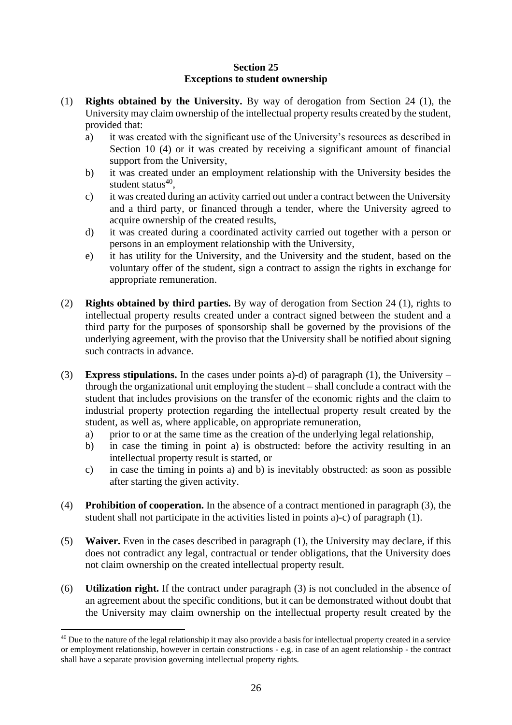### **Section 25 Exceptions to student ownership**

- <span id="page-25-0"></span>(1) **Rights obtained by the University.** By way of derogation from Section 24 (1), the University may claim ownership of the intellectual property results created by the student, provided that:
	- a) it was created with the significant use of the University's resources as described in Section 10 (4) or it was created by receiving a significant amount of financial support from the University,
	- b) it was created under an employment relationship with the University besides the student status<sup>40</sup>,
	- c) it was created during an activity carried out under a contract between the University and a third party, or financed through a tender, where the University agreed to acquire ownership of the created results,
	- d) it was created during a coordinated activity carried out together with a person or persons in an employment relationship with the University,
	- e) it has utility for the University, and the University and the student, based on the voluntary offer of the student, sign a contract to assign the rights in exchange for appropriate remuneration.
- (2) **Rights obtained by third parties.** By way of derogation from Section 24 (1), rights to intellectual property results created under a contract signed between the student and a third party for the purposes of sponsorship shall be governed by the provisions of the underlying agreement, with the proviso that the University shall be notified about signing such contracts in advance.
- (3) **Express stipulations.** In the cases under points a)-d) of paragraph (1), the University through the organizational unit employing the student – shall conclude a contract with the student that includes provisions on the transfer of the economic rights and the claim to industrial property protection regarding the intellectual property result created by the student, as well as, where applicable, on appropriate remuneration,
	- a) prior to or at the same time as the creation of the underlying legal relationship,
	- b) in case the timing in point a) is obstructed: before the activity resulting in an intellectual property result is started, or
	- c) in case the timing in points a) and b) is inevitably obstructed: as soon as possible after starting the given activity.
- (4) **Prohibition of cooperation.** In the absence of a contract mentioned in paragraph (3), the student shall not participate in the activities listed in points a)-c) of paragraph (1).
- (5) **Waiver.** Even in the cases described in paragraph (1), the University may declare, if this does not contradict any legal, contractual or tender obligations, that the University does not claim ownership on the created intellectual property result.
- (6) **Utilization right.** If the contract under paragraph (3) is not concluded in the absence of an agreement about the specific conditions, but it can be demonstrated without doubt that the University may claim ownership on the intellectual property result created by the

<sup>&</sup>lt;sup>40</sup> Due to the nature of the legal relationship it may also provide a basis for intellectual property created in a service or employment relationship, however in certain constructions - e.g. in case of an agent relationship - the contract shall have a separate provision governing intellectual property rights.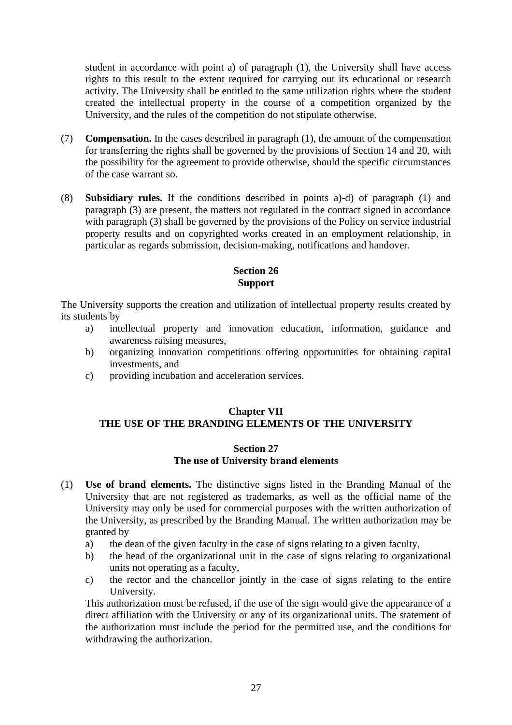student in accordance with point a) of paragraph (1), the University shall have access rights to this result to the extent required for carrying out its educational or research activity. The University shall be entitled to the same utilization rights where the student created the intellectual property in the course of a competition organized by the University, and the rules of the competition do not stipulate otherwise.

- (7) **Compensation.** In the cases described in paragraph (1), the amount of the compensation for transferring the rights shall be governed by the provisions of Section 14 and 20, with the possibility for the agreement to provide otherwise, should the specific circumstances of the case warrant so.
- (8) **Subsidiary rules.** If the conditions described in points a)-d) of paragraph (1) and paragraph (3) are present, the matters not regulated in the contract signed in accordance with paragraph (3) shall be governed by the provisions of the Policy on service industrial property results and on copyrighted works created in an employment relationship, in particular as regards submission, decision-making, notifications and handover.

### **Section 26 Support**

<span id="page-26-0"></span>The University supports the creation and utilization of intellectual property results created by its students by

- a) intellectual property and innovation education, information, guidance and awareness raising measures,
- b) organizing innovation competitions offering opportunities for obtaining capital investments, and
- c) providing incubation and acceleration services.

### <span id="page-26-1"></span>**Chapter VII THE USE OF THE BRANDING ELEMENTS OF THE UNIVERSITY**

#### **Section 27 The use of University brand elements**

- <span id="page-26-2"></span>(1) **Use of brand elements.** The distinctive signs listed in the Branding Manual of the University that are not registered as trademarks, as well as the official name of the University may only be used for commercial purposes with the written authorization of the University, as prescribed by the Branding Manual. The written authorization may be granted by
	- a) the dean of the given faculty in the case of signs relating to a given faculty,
	- b) the head of the organizational unit in the case of signs relating to organizational units not operating as a faculty,
	- c) the rector and the chancellor jointly in the case of signs relating to the entire University.

This authorization must be refused, if the use of the sign would give the appearance of a direct affiliation with the University or any of its organizational units. The statement of the authorization must include the period for the permitted use, and the conditions for withdrawing the authorization.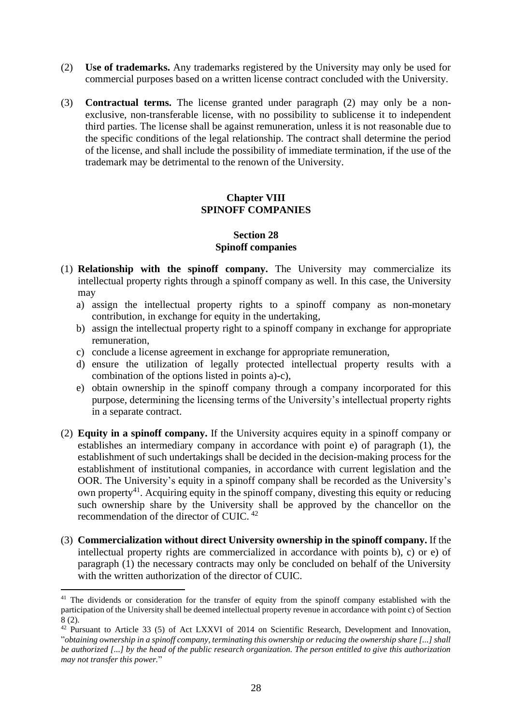- (2) **Use of trademarks.** Any trademarks registered by the University may only be used for commercial purposes based on a written license contract concluded with the University.
- (3) **Contractual terms.** The license granted under paragraph (2) may only be a nonexclusive, non-transferable license, with no possibility to sublicense it to independent third parties. The license shall be against remuneration, unless it is not reasonable due to the specific conditions of the legal relationship. The contract shall determine the period of the license, and shall include the possibility of immediate termination, if the use of the trademark may be detrimental to the renown of the University.

### **Chapter VIII SPINOFF COMPANIES**

#### **Section 28 Spinoff companies**

- <span id="page-27-1"></span><span id="page-27-0"></span>(1) **Relationship with the spinoff company.** The University may commercialize its intellectual property rights through a spinoff company as well. In this case, the University may
	- a) assign the intellectual property rights to a spinoff company as non-monetary contribution, in exchange for equity in the undertaking,
	- b) assign the intellectual property right to a spinoff company in exchange for appropriate remuneration,
	- c) conclude a license agreement in exchange for appropriate remuneration,
	- d) ensure the utilization of legally protected intellectual property results with a combination of the options listed in points a)-c),
	- e) obtain ownership in the spinoff company through a company incorporated for this purpose, determining the licensing terms of the University's intellectual property rights in a separate contract.
- (2) **Equity in a spinoff company.** If the University acquires equity in a spinoff company or establishes an intermediary company in accordance with point e) of paragraph (1), the establishment of such undertakings shall be decided in the decision-making process for the establishment of institutional companies, in accordance with current legislation and the OOR. The University's equity in a spinoff company shall be recorded as the University's own property<sup>41</sup>. Acquiring equity in the spinoff company, divesting this equity or reducing such ownership share by the University shall be approved by the chancellor on the recommendation of the director of CUIC. <sup>42</sup>
- (3) **Commercialization without direct University ownership in the spinoff company.** If the intellectual property rights are commercialized in accordance with points b), c) or e) of paragraph (1) the necessary contracts may only be concluded on behalf of the University with the written authorization of the director of CUIC.

<sup>&</sup>lt;sup>41</sup> The dividends or consideration for the transfer of equity from the spinoff company established with the participation of the University shall be deemed intellectual property revenue in accordance with point c) of Section 8 (2).

<sup>42</sup> Pursuant to Article 33 (5) of Act LXXVI of 2014 on Scientific Research, Development and Innovation, "*obtaining ownership in a spinoff company, terminating this ownership or reducing the ownership share [...] shall be authorized [...] by the head of the public research organization. The person entitled to give this authorization may not transfer this power.*"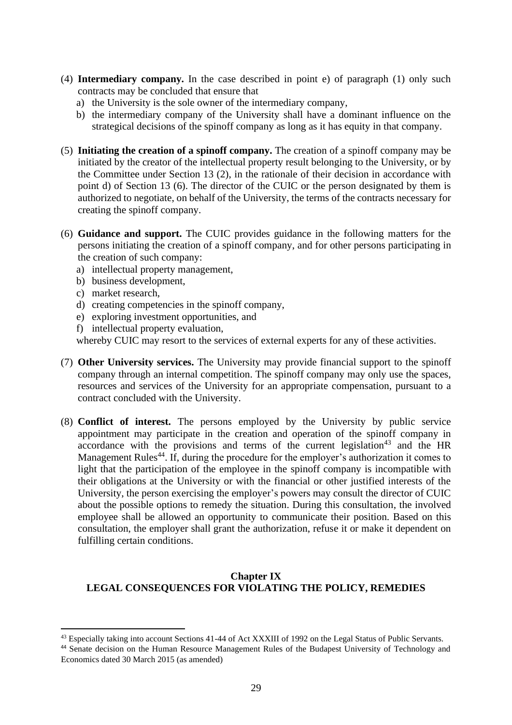- (4) **Intermediary company.** In the case described in point e) of paragraph (1) only such contracts may be concluded that ensure that
	- a) the University is the sole owner of the intermediary company,
	- b) the intermediary company of the University shall have a dominant influence on the strategical decisions of the spinoff company as long as it has equity in that company.
- (5) **Initiating the creation of a spinoff company.** The creation of a spinoff company may be initiated by the creator of the intellectual property result belonging to the University, or by the Committee under Section 13 (2), in the rationale of their decision in accordance with point d) of Section 13 (6). The director of the CUIC or the person designated by them is authorized to negotiate, on behalf of the University, the terms of the contracts necessary for creating the spinoff company.
- (6) **Guidance and support.** The CUIC provides guidance in the following matters for the persons initiating the creation of a spinoff company, and for other persons participating in the creation of such company:
	- a) intellectual property management,
	- b) business development,
	- c) market research,
	- d) creating competencies in the spinoff company,
	- e) exploring investment opportunities, and
	- f) intellectual property evaluation,

whereby CUIC may resort to the services of external experts for any of these activities.

- (7) **Other University services.** The University may provide financial support to the spinoff company through an internal competition. The spinoff company may only use the spaces, resources and services of the University for an appropriate compensation, pursuant to a contract concluded with the University.
- (8) **Conflict of interest.** The persons employed by the University by public service appointment may participate in the creation and operation of the spinoff company in accordance with the provisions and terms of the current legislation<sup>43</sup> and the HR Management Rules<sup>44</sup>. If, during the procedure for the employer's authorization it comes to light that the participation of the employee in the spinoff company is incompatible with their obligations at the University or with the financial or other justified interests of the University, the person exercising the employer's powers may consult the director of CUIC about the possible options to remedy the situation. During this consultation, the involved employee shall be allowed an opportunity to communicate their position. Based on this consultation, the employer shall grant the authorization, refuse it or make it dependent on fulfilling certain conditions.

### <span id="page-28-0"></span>**Chapter IX LEGAL CONSEQUENCES FOR VIOLATING THE POLICY, REMEDIES**

<sup>&</sup>lt;sup>43</sup> Especially taking into account Sections 41-44 of Act XXXIII of 1992 on the Legal Status of Public Servants.

<sup>44</sup> Senate decision on the Human Resource Management Rules of the Budapest University of Technology and Economics dated 30 March 2015 (as amended)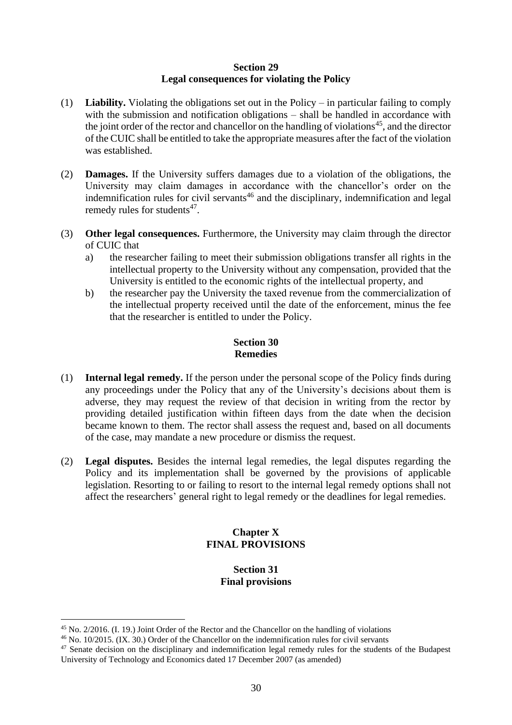### **Section 29 Legal consequences for violating the Policy**

- <span id="page-29-0"></span>(1) **Liability.** Violating the obligations set out in the Policy – in particular failing to comply with the submission and notification obligations – shall be handled in accordance with the joint order of the rector and chancellor on the handling of violations<sup>45</sup>, and the director of the CUIC shall be entitled to take the appropriate measures after the fact of the violation was established.
- (2) **Damages.** If the University suffers damages due to a violation of the obligations, the University may claim damages in accordance with the chancellor's order on the indemnification rules for civil servants<sup>46</sup> and the disciplinary, indemnification and legal remedy rules for students<sup>47</sup>.
- (3) **Other legal consequences.** Furthermore, the University may claim through the director of CUIC that
	- a) the researcher failing to meet their submission obligations transfer all rights in the intellectual property to the University without any compensation, provided that the University is entitled to the economic rights of the intellectual property, and
	- b) the researcher pay the University the taxed revenue from the commercialization of the intellectual property received until the date of the enforcement, minus the fee that the researcher is entitled to under the Policy.

## **Section 30 Remedies**

- <span id="page-29-1"></span>(1) **Internal legal remedy.** If the person under the personal scope of the Policy finds during any proceedings under the Policy that any of the University's decisions about them is adverse, they may request the review of that decision in writing from the rector by providing detailed justification within fifteen days from the date when the decision became known to them. The rector shall assess the request and, based on all documents of the case, may mandate a new procedure or dismiss the request.
- <span id="page-29-2"></span>(2) **Legal disputes.** Besides the internal legal remedies, the legal disputes regarding the Policy and its implementation shall be governed by the provisions of applicable legislation. Resorting to or failing to resort to the internal legal remedy options shall not affect the researchers' general right to legal remedy or the deadlines for legal remedies.

## **Chapter X FINAL PROVISIONS**

#### **Section 31 Final provisions**

<span id="page-29-3"></span><sup>45</sup> No. 2/2016. (I. 19.) Joint Order of the Rector and the Chancellor on the handling of violations

<sup>46</sup> No. 10/2015. (IX. 30.) Order of the Chancellor on the indemnification rules for civil servants

<sup>&</sup>lt;sup>47</sup> Senate decision on the disciplinary and indemnification legal remedy rules for the students of the Budapest University of Technology and Economics dated 17 December 2007 (as amended)